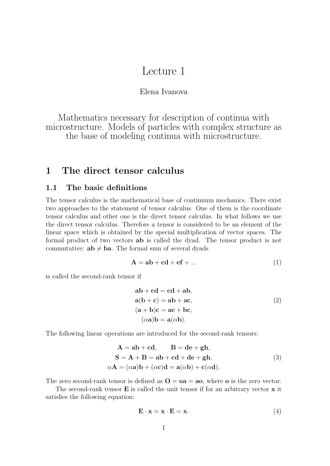# Lecture 1

### Elena Ivanova

Mathematics necessary for description of continua with microstructure. Models of particles with complex structure as the base of modeling continua with microstructure.

## **1 The direct tensor calculus**

### **1.1 The basic definitions**

The tensor calculus is the mathematical base of continuum mechanics. There exist two approaches to the statement of tensor calculus. One of them is the coordinate tensor calculus and other one is the direct tensor calculus. In what follows we use the direct tensor calculus. Therefore a tensor is considered to be an element of the linear space which is obtained by the special multiplication of vector spaces. The formal product of two vectors **ab** is called the dyad. The tensor product is not commutative:  $ab \neq ba$ . The formal sum of several dyads

$$
A = ab + cd + ef + ... \tag{1}
$$

is called the second-rank tensor if

$$
ab + cd = cd + ab,a(b + c) = ab + ac,(a + b)c = ac + bc,( $\alpha a$ )b = a( $\alpha b$ ). (2)
$$

The following linear operations are introduced for the second-rank tensors:

$$
\mathbf{A} = \mathbf{a}\mathbf{b} + \mathbf{c}\mathbf{d}, \qquad \mathbf{B} = \mathbf{d}\mathbf{e} + \mathbf{g}\mathbf{h},
$$
  
\n
$$
\mathbf{S} = \mathbf{A} + \mathbf{B} = \mathbf{a}\mathbf{b} + \mathbf{c}\mathbf{d} + \mathbf{d}\mathbf{e} + \mathbf{g}\mathbf{h},
$$
  
\n
$$
\alpha \mathbf{A} = (\alpha \mathbf{a})\mathbf{b} + (\alpha \mathbf{c})\mathbf{d} = \mathbf{a}(\alpha \mathbf{b}) + \mathbf{c}(\alpha \mathbf{d}).
$$
\n(3)

The zero second-rank tensor is defined as  $\mathbf{O} = \mathbf{oa} = \mathbf{ao}$ , where **o** is the zero vector.

The second-rank tensor **E** is called the unit tensor if for an arbitrary vector **x** it satisfies the following equation:

$$
\mathbf{E} \cdot \mathbf{x} = \mathbf{x} \cdot \mathbf{E} = \mathbf{x}.\tag{4}
$$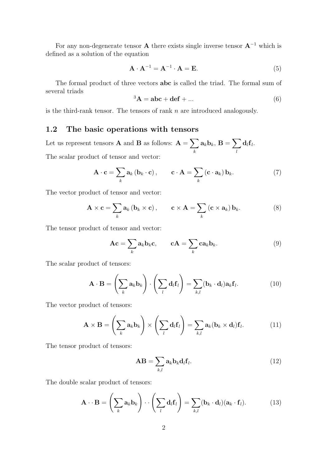For any non-degenerate tensor **A** there exists single inverse tensor  $A^{-1}$  which is defined as a solution of the equation

$$
\mathbf{A} \cdot \mathbf{A}^{-1} = \mathbf{A}^{-1} \cdot \mathbf{A} = \mathbf{E}.\tag{5}
$$

The formal product of three vectors **abc** is called the triad. The formal sum of several triads

$$
{}^{3}\mathbf{A} = \mathbf{abc} + \mathbf{def} + \dots \tag{6}
$$

is the third-rank tensor. The tensors of rank  $n$  are introduced analogously.

### **1.2 The basic operations with tensors**

Let us represent tensors **A** and **B** as follows:  $A = \sum$ k  $\mathbf{a}_k \mathbf{b}_k, \, \mathbf{B} = \sum \limits_{k=1}^N \mathbf{b}_k$ l  $\mathbf{d}_l \mathbf{f}_l$ . The scalar product of tensor and vector:

$$
\mathbf{A} \cdot \mathbf{c} = \sum_{k} \mathbf{a}_{k} \left( \mathbf{b}_{k} \cdot \mathbf{c} \right), \qquad \mathbf{c} \cdot \mathbf{A} = \sum_{k} \left( \mathbf{c} \cdot \mathbf{a}_{k} \right) \mathbf{b}_{k}.
$$
 (7)

The vector product of tensor and vector:

$$
\mathbf{A} \times \mathbf{c} = \sum_{k} \mathbf{a}_{k} \left( \mathbf{b}_{k} \times \mathbf{c} \right), \qquad \mathbf{c} \times \mathbf{A} = \sum_{k} \left( \mathbf{c} \times \mathbf{a}_{k} \right) \mathbf{b}_{k}.
$$
 (8)

The tensor product of tensor and vector:

$$
Ac = \sum_{k} a_{k} b_{k} c, \qquad cA = \sum_{k} c a_{k} b_{k}. \qquad (9)
$$

The scalar product of tensors:

$$
\mathbf{A} \cdot \mathbf{B} = \left(\sum_{k} \mathbf{a}_{k} \mathbf{b}_{k}\right) \cdot \left(\sum_{l} \mathbf{d}_{l} \mathbf{f}_{l}\right) = \sum_{k,l} (\mathbf{b}_{k} \cdot \mathbf{d}_{l}) \mathbf{a}_{k} \mathbf{f}_{l}.
$$
 (10)

The vector product of tensors:

$$
\mathbf{A} \times \mathbf{B} = \left(\sum_{k} \mathbf{a}_{k} \mathbf{b}_{k}\right) \times \left(\sum_{l} \mathbf{d}_{l} \mathbf{f}_{l}\right) = \sum_{k,l} \mathbf{a}_{k} (\mathbf{b}_{k} \times \mathbf{d}_{l}) \mathbf{f}_{l}.
$$
 (11)

The tensor product of tensors:

$$
\mathbf{AB} = \sum_{k,l} \mathbf{a}_k \mathbf{b}_k \mathbf{d}_l \mathbf{f}_l. \tag{12}
$$

The double scalar product of tensors:

$$
\mathbf{A} \cdot \mathbf{B} = \left(\sum_{k} \mathbf{a}_{k} \mathbf{b}_{k}\right) \cdot \left(\sum_{l} \mathbf{d}_{l} \mathbf{f}_{l}\right) = \sum_{k,l} (\mathbf{b}_{k} \cdot \mathbf{d}_{l}) (\mathbf{a}_{k} \cdot \mathbf{f}_{l}). \tag{13}
$$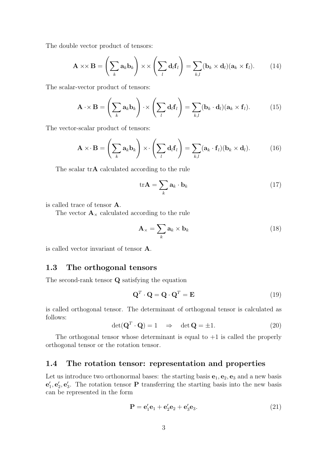The double vector product of tensors:

$$
\mathbf{A} \times \mathbf{B} = \left(\sum_{k} \mathbf{a}_{k} \mathbf{b}_{k}\right) \times \times \left(\sum_{l} \mathbf{d}_{l} \mathbf{f}_{l}\right) = \sum_{k,l} (\mathbf{b}_{k} \times \mathbf{d}_{l}) (\mathbf{a}_{k} \times \mathbf{f}_{l}). \tag{14}
$$

The scalar-vector product of tensors:

$$
\mathbf{A} \cdot \times \mathbf{B} = \left(\sum_{k} \mathbf{a}_{k} \mathbf{b}_{k}\right) \cdot \times \left(\sum_{l} \mathbf{d}_{l} \mathbf{f}_{l}\right) = \sum_{k,l} (\mathbf{b}_{k} \cdot \mathbf{d}_{l}) (\mathbf{a}_{k} \times \mathbf{f}_{l}). \tag{15}
$$

The vector-scalar product of tensors:

$$
\mathbf{A} \times \mathbf{B} = \left(\sum_{k} \mathbf{a}_{k} \mathbf{b}_{k}\right) \times \left(\sum_{l} \mathbf{d}_{l} \mathbf{f}_{l}\right) = \sum_{k,l} (\mathbf{a}_{k} \cdot \mathbf{f}_{l})(\mathbf{b}_{k} \times \mathbf{d}_{l}). \tag{16}
$$

The scalar tr**A** calculated according to the rule

$$
\text{tr}\mathbf{A} = \sum_{k} \mathbf{a}_k \cdot \mathbf{b}_k \tag{17}
$$

is called trace of tensor **A**.

The vector  $\mathbf{A}_{\times}$  calculated according to the rule

$$
\mathbf{A}_{\times} = \sum_{k} \mathbf{a}_{k} \times \mathbf{b}_{k} \tag{18}
$$

is called vector invariant of tensor **A**.

### **1.3 The orthogonal tensors**

The second-rank tensor **Q** satisfying the equation

$$
\mathbf{Q}^T \cdot \mathbf{Q} = \mathbf{Q} \cdot \mathbf{Q}^T = \mathbf{E} \tag{19}
$$

is called orthogonal tensor. The determinant of orthogonal tensor is calculated as follows:

$$
\det(\mathbf{Q}^T \cdot \mathbf{Q}) = 1 \quad \Rightarrow \quad \det \mathbf{Q} = \pm 1. \tag{20}
$$

The orthogonal tensor whose determinant is equal to  $+1$  is called the properly orthogonal tensor or the rotation tensor.

### **1.4 The rotation tensor: representation and properties**

Let us introduce two orthonormal bases: the starting basis  $\mathbf{e}_1, \mathbf{e}_2, \mathbf{e}_3$  and a new basis  $\mathbf{e}'_1, \mathbf{e}'_2, \mathbf{e}'_3$ . The rotation tensor **P** transferring the starting basis into the new basis can be represented in the form

$$
\mathbf{P} = \mathbf{e}'_1 \mathbf{e}_1 + \mathbf{e}'_2 \mathbf{e}_2 + \mathbf{e}'_3 \mathbf{e}_3. \tag{21}
$$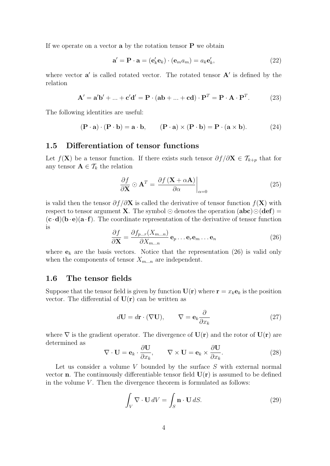If we operate on a vector **a** by the rotation tensor **P** we obtain

$$
\mathbf{a}' = \mathbf{P} \cdot \mathbf{a} = (\mathbf{e}'_k \mathbf{e}_k) \cdot (\mathbf{e}_m a_m) = a_k \mathbf{e}'_k,\tag{22}
$$

where vector  $a'$  is called rotated vector. The rotated tensor  $A'$  is defined by the relation

$$
\mathbf{A}' = \mathbf{a}'\mathbf{b}' + \dots + \mathbf{c}'\mathbf{d}' = \mathbf{P} \cdot (\mathbf{a}\mathbf{b} + \dots + \mathbf{c}\mathbf{d}) \cdot \mathbf{P}^T = \mathbf{P} \cdot \mathbf{A} \cdot \mathbf{P}^T.
$$
 (23)

The following identities are useful:

$$
(\mathbf{P} \cdot \mathbf{a}) \cdot (\mathbf{P} \cdot \mathbf{b}) = \mathbf{a} \cdot \mathbf{b}, \qquad (\mathbf{P} \cdot \mathbf{a}) \times (\mathbf{P} \cdot \mathbf{b}) = \mathbf{P} \cdot (\mathbf{a} \times \mathbf{b}). \tag{24}
$$

### **1.5 Differentiation of tensor functions**

Let  $f(\mathbf{X})$  be a tensor function. If there exists such tensor  $\partial f/\partial \mathbf{X} \in \mathcal{T}_{k+p}$  that for any tensor  $\mathbf{A} \in \mathcal{T}_k$  the relation

$$
\frac{\partial f}{\partial \mathbf{X}} \odot \mathbf{A}^T = \frac{\partial f(\mathbf{X} + \alpha \mathbf{A})}{\partial \alpha} \bigg|_{\alpha = 0} \tag{25}
$$

is valid then the tensor  $\partial f/\partial \mathbf{X}$  is called the derivative of tensor function  $f(\mathbf{X})$  with respect to tensor argument **X**. The symbol  $\odot$  denotes the operation (**abc**) $\odot$ (**def**) =  $(\mathbf{c} \cdot \mathbf{d})(\mathbf{b} \cdot \mathbf{e})(\mathbf{a} \cdot \mathbf{f})$ . The coordinate representation of the derivative of tensor function is

$$
\frac{\partial f}{\partial \mathbf{X}} = \frac{\partial f_{p...r}(X_{m...n})}{\partial X_{m...n}} \mathbf{e}_p \dots \mathbf{e}_r \mathbf{e}_m \dots \mathbf{e}_n \tag{26}
$$

where  $e_k$  are the basis vectors. Notice that the representation (26) is valid only when the components of tensor  $X_{m...n}$  are independent.

#### **1.6 The tensor fields**

Suppose that the tensor field is given by function  $U(\mathbf{r})$  where  $\mathbf{r} = x_k \mathbf{e}_k$  is the position vector. The differential of  $U(r)$  can be written as

$$
d\mathbf{U} = d\mathbf{r} \cdot (\nabla \mathbf{U}), \qquad \nabla = \mathbf{e}_k \frac{\partial}{\partial x_k} \tag{27}
$$

where  $\nabla$  is the gradient operator. The divergence of  $U(\mathbf{r})$  and the rotor of  $U(\mathbf{r})$  are determined as

$$
\nabla \cdot \mathbf{U} = \mathbf{e}_k \cdot \frac{\partial \mathbf{U}}{\partial x_k}, \qquad \nabla \times \mathbf{U} = \mathbf{e}_k \times \frac{\partial \mathbf{U}}{\partial x_k}.
$$
 (28)

Let us consider a volume  $V$  bounded by the surface  $S$  with external normal vector **n**. The continuously differentiable tensor field  $U(r)$  is assumed to be defined in the volume  $V$ . Then the divergence theorem is formulated as follows:

$$
\int_{V} \nabla \cdot \mathbf{U} \, dV = \int_{S} \mathbf{n} \cdot \mathbf{U} \, dS. \tag{29}
$$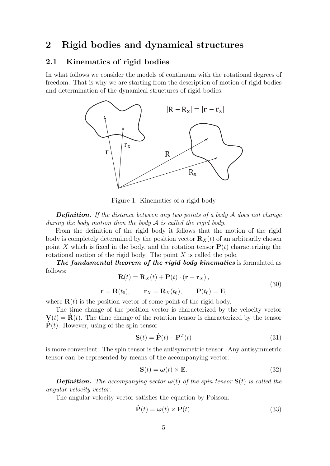## **2 Rigid bodies and dynamical structures**

### **2.1 Kinematics of rigid bodies**

In what follows we consider the models of continuum with the rotational degrees of freedom. That is why we are starting from the description of motion of rigid bodies and determination of the dynamical structures of rigid bodies.



Figure 1: Kinematics of a rigid body

*Definition. If the distance between any two points of a body* A *does not change during the body motion then the body* A *is called the rigid body.*

From the definition of the rigid body it follows that the motion of the rigid body is completely determined by the position vector  $\mathbf{R}_X(t)$  of an arbitrarily chosen point X which is fixed in the body, and the rotation tensor  $P(t)$  characterizing the rotational motion of the rigid body. The point  $X$  is called the pole.

*The fundamental theorem of the rigid body kinematics* is formulated as follows:

$$
\mathbf{R}(t) = \mathbf{R}_X(t) + \mathbf{P}(t) \cdot (\mathbf{r} - \mathbf{r}_X),
$$
  

$$
\mathbf{r} = \mathbf{R}(t_0), \qquad \mathbf{r}_X = \mathbf{R}_X(t_0), \qquad \mathbf{P}(t_0) = \mathbf{E},
$$
 (30)

where  $\mathbf{R}(t)$  is the position vector of some point of the rigid body.

The time change of the position vector is characterized by the velocity vector **. The time change of the rotation tensor is characterized by the tensor**  $\dot{\mathbf{P}}(t)$ . However, using of the spin tensor

$$
\mathbf{S}(t) = \dot{\mathbf{P}}(t) \cdot \mathbf{P}^T(t) \tag{31}
$$

is more convenient. The spin tensor is the antisymmetric tensor. Any antisymmetric tensor can be represented by means of the accompanying vector:

$$
\mathbf{S}(t) = \boldsymbol{\omega}(t) \times \mathbf{E}.\tag{32}
$$

*Definition.* The accompanying vector  $\omega(t)$  of the spin tensor  $S(t)$  is called the *angular velocity vector.*

The angular velocity vector satisfies the equation by Poisson:

$$
\dot{\mathbf{P}}(t) = \boldsymbol{\omega}(t) \times \mathbf{P}(t). \tag{33}
$$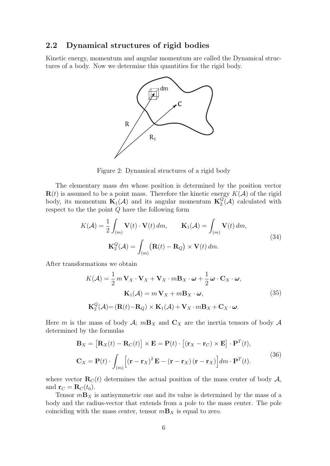### **2.2 Dynamical structures of rigid bodies**

Kinetic energy, momentum and angular momentum are called the Dynamical structures of a body. Now we determine this quantities for the rigid body.



Figure 2: Dynamical structures of a rigid body

The elementary mass  $dm$  whose position is determined by the position vector  **is assumed to be a point mass. Therefore the kinetic energy**  $K(\mathcal{A})$  **of the rigid** body, its momentum  $\mathbf{K}_1(\mathcal{A})$  and its angular momentum  $\mathbf{K}_2^Q(\mathcal{A})$  calculated with respect to the the point  $Q$  have the following form

$$
K(\mathcal{A}) = \frac{1}{2} \int_{(m)} \mathbf{V}(t) \cdot \mathbf{V}(t) dm, \qquad \mathbf{K}_1(\mathcal{A}) = \int_{(m)} \mathbf{V}(t) dm,
$$
  

$$
\mathbf{K}_2^Q(\mathcal{A}) = \int_{(m)} (\mathbf{R}(t) - \mathbf{R}_Q) \times \mathbf{V}(t) dm.
$$
 (34)

After transformations we obtain

$$
K(\mathcal{A}) = \frac{1}{2} m \mathbf{V}_X \cdot \mathbf{V}_X + \mathbf{V}_X \cdot m \mathbf{B}_X \cdot \boldsymbol{\omega} + \frac{1}{2} \boldsymbol{\omega} \cdot \mathbf{C}_X \cdot \boldsymbol{\omega},
$$
  

$$
\mathbf{K}_1(\mathcal{A}) = m \mathbf{V}_X + m \mathbf{B}_X \cdot \boldsymbol{\omega},
$$
  

$$
\mathbf{K}_2^Q(\mathcal{A}) = (\mathbf{R}(t) - \mathbf{R}_Q) \times \mathbf{K}_1(\mathcal{A}) + \mathbf{V}_X \cdot m \mathbf{B}_X + \mathbf{C}_X \cdot \boldsymbol{\omega}.
$$
 (35)

Here m is the mass of body  $\mathcal{A}$ ;  $m\mathbf{B}_X$  and  $\mathbf{C}_X$  are the inertia tensors of body  $\mathcal{A}$ determined by the formulas

$$
\mathbf{B}_{X} = [\mathbf{R}_{X}(t) - \mathbf{R}_{C}(t)] \times \mathbf{E} = \mathbf{P}(t) \cdot [(\mathbf{r}_{X} - \mathbf{r}_{C}) \times \mathbf{E}] \cdot \mathbf{P}^{T}(t),
$$
  

$$
\mathbf{C}_{X} = \mathbf{P}(t) \cdot \int_{(m)} [(\mathbf{r} - \mathbf{r}_{X})^{2} \mathbf{E} - (\mathbf{r} - \mathbf{r}_{X})(\mathbf{r} - \mathbf{r}_{X})] dm \cdot \mathbf{P}^{T}(t).
$$
(36)

where vector  $\mathbf{R}_C(t)$  determines the actual position of the mass center of body  $\mathcal{A}$ , and  $\mathbf{r}_C = \mathbf{R}_C(t_0)$ .

Tensor  $m\mathbf{B}_X$  is antisymmetric one and its value is determined by the mass of a body and the radius-vector that extends from a pole to the mass center. The pole coinciding with the mass center, tensor  $m\mathbf{B}_X$  is equal to zero.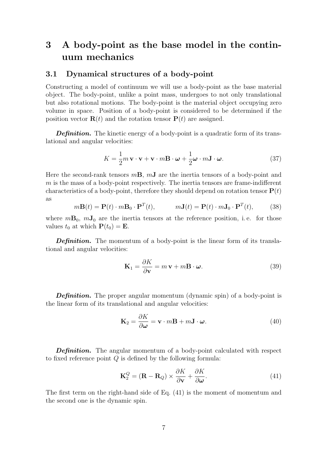# **3 A body-point as the base model in the continuum mechanics**

### **3.1 Dynamical structures of a body-point**

Constructing a model of continuum we will use a body-point as the base material object. The body-point, unlike a point mass, undergoes to not only translational but also rotational motions. The body-point is the material object occupying zero volume in space. Position of a body-point is considered to be determined if the position vector  $\mathbf{R}(t)$  and the rotation tensor  $\mathbf{P}(t)$  are assigned.

**Definition.** The kinetic energy of a body-point is a quadratic form of its translational and angular velocities:

$$
K = \frac{1}{2}m\mathbf{v}\cdot\mathbf{v} + \mathbf{v}\cdot m\mathbf{B}\cdot\boldsymbol{\omega} + \frac{1}{2}\boldsymbol{\omega}\cdot m\mathbf{J}\cdot\boldsymbol{\omega}.
$$
 (37)

Here the second-rank tensors m**B**, m**J** are the inertia tensors of a body-point and  $m$  is the mass of a body-point respectively. The inertia tensors are frame-indifferent characteristics of a body-point, therefore they should depend on rotation tensor  $P(t)$ as

$$
m\mathbf{B}(t) = \mathbf{P}(t) \cdot m\mathbf{B}_0 \cdot \mathbf{P}^T(t), \qquad m\mathbf{J}(t) = \mathbf{P}(t) \cdot m\mathbf{J}_0 \cdot \mathbf{P}^T(t), \qquad (38)
$$

where  $m\mathbf{B}_0$ ,  $m\mathbf{J}_0$  are the inertia tensors at the reference position, i.e. for those values  $t_0$  at which  $P(t_0) = E$ .

*Definition.* The momentum of a body-point is the linear form of its translational and angular velocities:

$$
\mathbf{K}_1 = \frac{\partial K}{\partial \mathbf{v}} = m \mathbf{v} + m \mathbf{B} \cdot \boldsymbol{\omega}.
$$
 (39)

**Definition.** The proper angular momentum (dynamic spin) of a body-point is the linear form of its translational and angular velocities:

$$
\mathbf{K}_2 = \frac{\partial K}{\partial \boldsymbol{\omega}} = \mathbf{v} \cdot m \mathbf{B} + m \mathbf{J} \cdot \boldsymbol{\omega}.
$$
 (40)

**Definition.** The angular momentum of a body-point calculated with respect to fixed reference point  $Q$  is defined by the following formula:

$$
\mathbf{K}_2^Q = (\mathbf{R} - \mathbf{R}_Q) \times \frac{\partial K}{\partial \mathbf{v}} + \frac{\partial K}{\partial \omega}.
$$
 (41)

The first term on the right-hand side of Eq. (41) is the moment of momentum and the second one is the dynamic spin.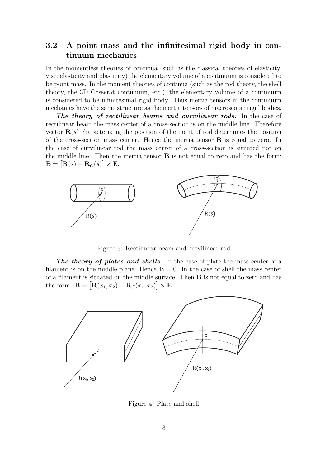### **3.2 A point mass and the infinitesimal rigid body in continuum mechanics**

In the momentless theories of continua (such as the classical theories of elasticity, viscoelasticity and plasticity) the elementary volume of a continuum is considered to be point mass. In the moment theories of continua (such as the rod theory, the shell theory, the 3D Cosserat continuum, etc.) the elementary volume of a continuum is considered to be infinitesimal rigid body. Thus inertia tensors in the continuum mechanics have the same structure as the inertia tensors of macroscopic rigid bodies.

*The theory of rectilinear beams and curvilinear rods.* In the case of rectilinear beam the mass center of a cross-section is on the middle line. Therefore vector  $\mathbf{R}(s)$  characterizing the position of the point of rod determines the position of the cross-section mass center. Hence the inertia tensor **B** is equal to zero. In the case of curvilinear rod the mass center of a cross-section is situated not on the middle line. Then the inertia tensor **B** is not equal to zero and has the form:  $\mathbf{B} = [\mathbf{R}(s) - \mathbf{R}_C(s)] \times \mathbf{E}.$ 



Figure 3: Rectilinear beam and curvilinear rod

*The theory of plates and shells.* In the case of plate the mass center of a filament is on the middle plane. Hence  $\mathbf{B} = 0$ . In the case of shell the mass center of a filament is situated on the middle surface. Then **B** is not equal to zero and has the form:  $B = [R(x_1, x_2) - R_C(x_1, x_2)] \times E$ .



Figure 4: Plate and shell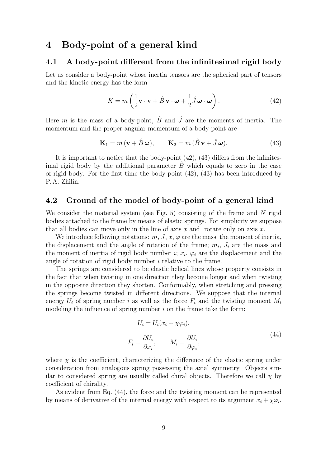## **4 Body-point of a general kind**

### **4.1 A body-point different from the infinitesimal rigid body**

Let us consider a body-point whose inertia tensors are the spherical part of tensors and the kinetic energy has the form

$$
K = m\left(\frac{1}{2}\mathbf{v}\cdot\mathbf{v} + \hat{B}\mathbf{v}\cdot\boldsymbol{\omega} + \frac{1}{2}\hat{J}\boldsymbol{\omega}\cdot\boldsymbol{\omega}\right).
$$
 (42)

Here m is the mass of a body-point,  $\hat{B}$  and  $\hat{J}$  are the moments of inertia. The momentum and the proper angular momentum of a body-point are

$$
\mathbf{K}_1 = m(\mathbf{v} + \hat{B}\,\boldsymbol{\omega}), \qquad \mathbf{K}_2 = m(\hat{B}\,\mathbf{v} + \hat{J}\,\boldsymbol{\omega}). \tag{43}
$$

It is important to notice that the body-point (42), (43) differs from the infinitesimal rigid body by the additional parameter  $B$  which equals to zero in the case of rigid body. For the first time the body-point  $(42)$ ,  $(43)$  has been introduced by P. A. Zhilin.

### **4.2 Ground of the model of body-point of a general kind**

We consider the material system (see Fig. 5) consisting of the frame and  $N$  rigid bodies attached to the frame by means of elastic springs. For simplicity we suppose that all bodies can move only in the line of axis x and rotate only on axis x.

We introduce following notations:  $m, J, x, \varphi$  are the mass, the moment of inertia, the displacement and the angle of rotation of the frame;  $m_i$ ,  $J_i$  are the mass and the moment of inertia of rigid body number i;  $x_i$ ,  $\varphi_i$  are the displacement and the angle of rotation of rigid body number i relative to the frame.

The springs are considered to be elastic helical lines whose property consists in the fact that when twisting in one direction they become longer and when twisting in the opposite direction they shorten. Conformably, when stretching and pressing the springs become twisted in different directions. We suppose that the internal energy  $U_i$  of spring number i as well as the force  $F_i$  and the twisting moment  $M_i$ modeling the influence of spring number  $i$  on the frame take the form:

$$
U_i = U_i(x_i + \chi \varphi_i),
$$
  
\n
$$
F_i = \frac{\partial U_i}{\partial x_i}, \qquad M_i = \frac{\partial U_i}{\partial \varphi_i},
$$
\n(44)

where  $\chi$  is the coefficient, characterizing the difference of the elastic spring under consideration from analogous spring possessing the axial symmetry. Objects similar to considered spring are usually called chiral objects. Therefore we call  $\chi$  by coefficient of chirality.

As evident from Eq. (44), the force and the twisting moment can be represented by means of derivative of the internal energy with respect to its argument  $x_i + \chi \varphi_i$ .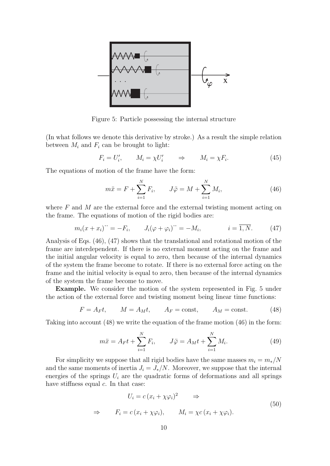

Figure 5: Particle possessing the internal structure

(In what follows we denote this derivative by stroke.) As a result the simple relation between  $M_i$  and  $F_i$  can be brought to light:

$$
F_i = U'_i, \qquad M_i = \chi U'_i \qquad \Rightarrow \qquad M_i = \chi F_i. \tag{45}
$$

The equations of motion of the frame have the form:

$$
m\ddot{x} = F + \sum_{i=1}^{N} F_i, \qquad J\ddot{\varphi} = M + \sum_{i=1}^{N} M_i,
$$
 (46)

where  $F$  and  $M$  are the external force and the external twisting moment acting on the frame. The equations of motion of the rigid bodies are:

$$
m_i(x+x_i)^{\cdots} = -F_i, \qquad J_i(\varphi + \varphi_i)^{\cdots} = -M_i, \qquad i = \overline{1, N}. \tag{47}
$$

Analysis of Eqs. (46), (47) shows that the translational and rotational motion of the frame are interdependent. If there is no external moment acting on the frame and the initial angular velocity is equal to zero, then because of the internal dynamics of the system the frame become to rotate. If there is no external force acting on the frame and the initial velocity is equal to zero, then because of the internal dynamics of the system the frame become to move.

**Example.** We consider the motion of the system represented in Fig. 5 under the action of the external force and twisting moment being linear time functions:

$$
F = A_F t, \qquad M = A_M t, \qquad A_F = \text{const}, \qquad A_M = \text{const.} \tag{48}
$$

Taking into account (48) we write the equation of the frame motion (46) in the form:

$$
m\ddot{x} = A_F t + \sum_{i=1}^{N} F_i, \qquad J\ddot{\varphi} = A_M t + \sum_{i=1}^{N} M_i.
$$
 (49)

For simplicity we suppose that all rigid bodies have the same masses  $m_i = m_*/N$ and the same moments of inertia  $J_i = J_*/N$ . Moreover, we suppose that the internal energies of the springs  $U_i$  are the quadratic forms of deformations and all springs have stiffness equal  $c$ . In that case:

$$
U_i = c (x_i + \chi \varphi_i)^2 \qquad \Rightarrow
$$
  
\n
$$
\Rightarrow \qquad F_i = c (x_i + \chi \varphi_i), \qquad M_i = \chi c (x_i + \chi \varphi_i).
$$
\n(50)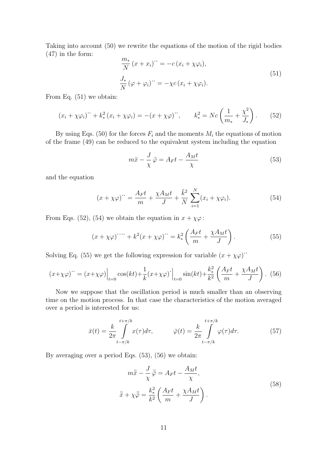Taking into account (50) we rewrite the equations of the motion of the rigid bodies (47) in the form:

$$
\frac{m_*}{N}(x+x_i)^{\cdots} = -c(x_i + \chi \varphi_i),
$$
  
\n
$$
\frac{J_*}{N}(\varphi + \varphi_i)^{\cdots} = -\chi c(x_i + \chi \varphi_i).
$$
\n(51)

From Eq. (51) we obtain:

$$
(x_i + \chi \varphi_i) + k_*^2 (x_i + \chi \varphi_i) = -(x + \chi \varphi) \,, \qquad k_*^2 = N c \left( \frac{1}{m_*} + \frac{\chi^2}{J_*} \right). \tag{52}
$$

By using Eqs. (50) for the forces  $F_i$  and the moments  $M_i$  the equations of motion of the frame (49) can be reduced to the equivalent system including the equation

$$
m\ddot{x} - \frac{J}{\chi}\ddot{\varphi} = A_F t - \frac{A_M t}{\chi} \tag{53}
$$

and the equation

$$
(x + \chi \varphi)'' = \frac{A_F t}{m} + \frac{\chi A_M t}{J} + \frac{\tilde{k}^2}{N} \sum_{i=1}^N (x_i + \chi \varphi_i).
$$
 (54)

From Eqs. (52), (54) we obtain the equation in  $x + \chi \varphi$ :

$$
(x + \chi \varphi) \cdots + k^2 (x + \chi \varphi) \cdots = k_*^2 \left( \frac{A_F t}{m} + \frac{\chi A_M t}{J} \right). \tag{55}
$$

Solving Eq. (55) we get the following expression for variable  $(x + \chi \varphi)$ .

$$
(x+\chi\varphi)^{\cdot\cdot} = (x+\chi\varphi)\Big|_{t=0} \cos(kt) + \frac{1}{k}(x+\chi\varphi)^{\cdot}\Big|_{t=0} \sin(kt) + \frac{k_*^2}{k^2} \left(\frac{A_Ft}{m} + \frac{\chi A_Mt}{J}\right). \tag{56}
$$

Now we suppose that the oscillation period is much smaller than an observing time on the motion process. In that case the characteristics of the motion averaged over a period is interested for us:

$$
\bar{x}(t) = \frac{k}{2\pi} \int_{t-\pi/k}^{t+\pi/k} x(\tau) d\tau, \qquad \bar{\varphi}(t) = \frac{k}{2\pi} \int_{t-\pi/k}^{t+\pi/k} \varphi(\tau) d\tau.
$$
 (57)

By averaging over a period Eqs. (53), (56) we obtain:

$$
m\ddot{\overline{x}} - \frac{J}{\chi}\ddot{\overline{\varphi}} = A_F t - \frac{A_M t}{\chi},
$$
  

$$
\ddot{\overline{x}} + \chi\ddot{\overline{\varphi}} = \frac{k_*^2}{k^2} \left(\frac{A_F t}{m} + \frac{\chi A_M t}{J}\right).
$$
 (58)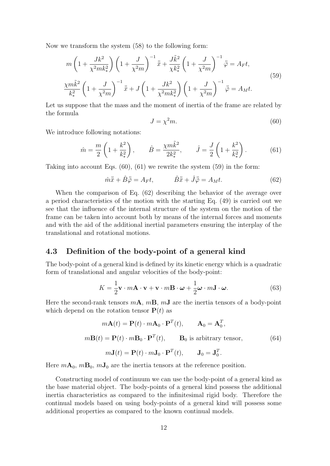Now we transform the system (58) to the following form:

$$
m\left(1+\frac{Jk^{2}}{\chi^{2}mk_{*}^{2}}\right)\left(1+\frac{J}{\chi^{2}m}\right)^{-1}\ddot{\bar{x}}+\frac{J\tilde{k}^{2}}{\chi k_{*}^{2}}\left(1+\frac{J}{\chi^{2}m}\right)^{-1}\ddot{\bar{\varphi}}=A_{F}t,
$$
\n
$$
\frac{\chi m\tilde{k}^{2}}{k_{*}^{2}}\left(1+\frac{J}{\chi^{2}m}\right)^{-1}\ddot{\bar{x}}+J\left(1+\frac{Jk^{2}}{\chi^{2}mk_{*}^{2}}\right)\left(1+\frac{J}{\chi^{2}m}\right)^{-1}\ddot{\bar{\varphi}}=A_{M}t.
$$
\n(59)

Let us suppose that the mass and the moment of inertia of the frame are related by the formula

$$
J = \chi^2 m. \tag{60}
$$

We introduce following notations:

$$
\hat{m} = \frac{m}{2} \left( 1 + \frac{k^2}{k_*^2} \right), \qquad \hat{B} = \frac{\chi m \tilde{k}^2}{2k_*^2}, \qquad \hat{J} = \frac{J}{2} \left( 1 + \frac{k^2}{k_*^2} \right). \tag{61}
$$

Taking into account Eqs. (60), (61) we rewrite the system (59) in the form:

$$
\hat{m}\ddot{\bar{x}} + \hat{B}\ddot{\bar{\varphi}} = A_F t, \qquad \hat{B}\ddot{\bar{x}} + \hat{J}\ddot{\bar{\varphi}} = A_M t. \tag{62}
$$

When the comparison of Eq. (62) describing the behavior of the average over a period characteristics of the motion with the starting Eq. (49) is carried out we see that the influence of the internal structure of the system on the motion of the frame can be taken into account both by means of the internal forces and moments and with the aid of the additional inertial parameters ensuring the interplay of the translational and rotational motions.

### **4.3 Definition of the body-point of a general kind**

The body-point of a general kind is defined by its kinetic energy which is a quadratic form of translational and angular velocities of the body-point:

$$
K = \frac{1}{2}\mathbf{v} \cdot m\mathbf{A} \cdot \mathbf{v} + \mathbf{v} \cdot m\mathbf{B} \cdot \boldsymbol{\omega} + \frac{1}{2}\boldsymbol{\omega} \cdot m\mathbf{J} \cdot \boldsymbol{\omega}.
$$
 (63)

Here the second-rank tensors m**A**, m**B**, m**J** are the inertia tensors of a body-point which depend on the rotation tensor  $P(t)$  as

$$
m\mathbf{A}(t) = \mathbf{P}(t) \cdot m\mathbf{A}_0 \cdot \mathbf{P}^T(t), \qquad \mathbf{A}_0 = \mathbf{A}_0^T,
$$
  

$$
m\mathbf{B}(t) = \mathbf{P}(t) \cdot m\mathbf{B}_0 \cdot \mathbf{P}^T(t), \qquad \mathbf{B}_0 \text{ is arbitrary tensor},
$$
  

$$
m\mathbf{J}(t) = \mathbf{P}(t) \cdot m\mathbf{J}_0 \cdot \mathbf{P}^T(t), \qquad \mathbf{J}_0 = \mathbf{J}_0^T.
$$
 (64)

Here  $mA_0$ ,  $mB_0$ ,  $mJ_0$  are the inertia tensors at the reference position.

Constructing model of continuum we can use the body-point of a general kind as the base material object. The body-points of a general kind possess the additional inertia characteristics as compared to the infinitesimal rigid body. Therefore the continual models based on using body-points of a general kind will possess some additional properties as compared to the known continual models.